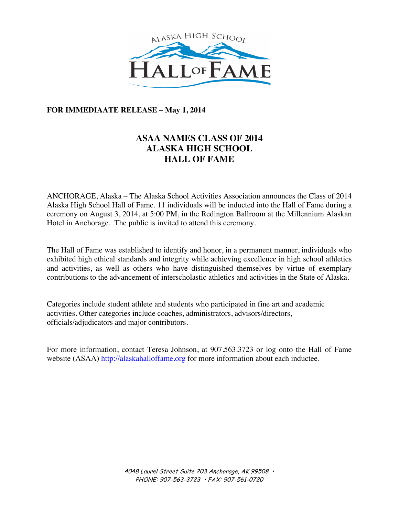

# **FOR IMMEDIAATE RELEASE – May 1, 2014**

# **ASAA NAMES CLASS OF 2014 ALASKA HIGH SCHOOL HALL OF FAME**

ANCHORAGE, Alaska – The Alaska School Activities Association announces the Class of 2014 Alaska High School Hall of Fame. 11 individuals will be inducted into the Hall of Fame during a ceremony on August 3, 2014, at 5:00 PM, in the Redington Ballroom at the Millennium Alaskan Hotel in Anchorage. The public is invited to attend this ceremony.

The Hall of Fame was established to identify and honor, in a permanent manner, individuals who exhibited high ethical standards and integrity while achieving excellence in high school athletics and activities, as well as others who have distinguished themselves by virtue of exemplary contributions to the advancement of interscholastic athletics and activities in the State of Alaska.

Categories include student athlete and students who participated in fine art and academic activities. Other categories include coaches, administrators, advisors/directors, officials/adjudicators and major contributors.

For more information, contact Teresa Johnson, at 907.563.3723 or log onto the Hall of Fame website (ASAA) http://alaskahalloffame.org for more information about each inductee.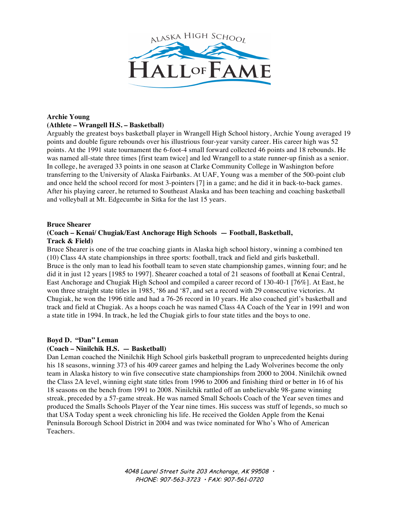

# **Archie Young (Athlete – Wrangell H.S. – Basketball)**

Arguably the greatest boys basketball player in Wrangell High School history, Archie Young averaged 19 points and double figure rebounds over his illustrious four-year varsity career. His career high was 52 points. At the 1991 state tournament the 6-foot-4 small forward collected 46 points and 18 rebounds. He was named all-state three times [first team twice] and led Wrangell to a state runner-up finish as a senior. In college, he averaged 33 points in one season at Clarke Community College in Washington before transferring to the University of Alaska Fairbanks. At UAF, Young was a member of the 500-point club and once held the school record for most 3-pointers [7] in a game; and he did it in back-to-back games. After his playing career, he returned to Southeast Alaska and has been teaching and coaching basketball and volleyball at Mt. Edgecumbe in Sitka for the last 15 years.

## **Bruce Shearer**

# **(Coach – Kenai/ Chugiak/East Anchorage High Schools — Football, Basketball, Track & Field)**

Bruce Shearer is one of the true coaching giants in Alaska high school history, winning a combined ten (10) Class 4A state championships in three sports: football, track and field and girls basketball. Bruce is the only man to lead his football team to seven state championship games, winning four; and he did it in just 12 years [1985 to 1997]. Shearer coached a total of 21 seasons of football at Kenai Central, East Anchorage and Chugiak High School and compiled a career record of 130-40-1 [76%]. At East, he won three straight state titles in 1985, '86 and '87, and set a record with 29 consecutive victories. At Chugiak, he won the 1996 title and had a 76-26 record in 10 years. He also coached girl's basketball and track and field at Chugiak. As a hoops coach he was named Class 4A Coach of the Year in 1991 and won a state title in 1994. In track, he led the Chugiak girls to four state titles and the boys to one.

# **Boyd D. "Dan" Leman**

# **(Coach – Ninilchik H.S. — Basketball)**

Dan Leman coached the Ninilchik High School girls basketball program to unprecedented heights during his 18 seasons, winning 373 of his 409 career games and helping the Lady Wolverines become the only team in Alaska history to win five consecutive state championships from 2000 to 2004. Ninilchik owned the Class 2A level, winning eight state titles from 1996 to 2006 and finishing third or better in 16 of his 18 seasons on the bench from 1991 to 2008. Ninilchik rattled off an unbelievable 98-game winning streak, preceded by a 57-game streak. He was named Small Schools Coach of the Year seven times and produced the Smalls Schools Player of the Year nine times. His success was stuff of legends, so much so that USA Today spent a week chronicling his life. He received the Golden Apple from the Kenai Peninsula Borough School District in 2004 and was twice nominated for Who's Who of American Teachers.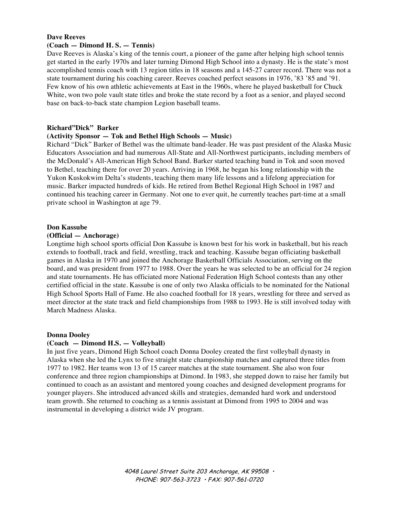# **Dave Reeves**

## **(Coach — Dimond H. S. — Tennis)**

Dave Reeves is Alaska's king of the tennis court, a pioneer of the game after helping high school tennis get started in the early 1970s and later turning Dimond High School into a dynasty. He is the state's most accomplished tennis coach with 13 region titles in 18 seasons and a 145-27 career record. There was not a state tournament during his coaching career. Reeves coached perfect seasons in 1976, '83 '85 and '91. Few know of his own athletic achievements at East in the 1960s, where he played basketball for Chuck White, won two pole vault state titles and broke the state record by a foot as a senior, and played second base on back-to-back state champion Legion baseball teams.

#### **Richard"Dick" Barker**

## **(Activity Sponsor — Tok and Bethel High Schools — Music)**

Richard "Dick" Barker of Bethel was the ultimate band-leader. He was past president of the Alaska Music Educators Association and had numerous All-State and All-Northwest participants, including members of the McDonald's All-American High School Band. Barker started teaching band in Tok and soon moved to Bethel, teaching there for over 20 years. Arriving in 1968, he began his long relationship with the Yukon Kuskokwim Delta's students, teaching them many life lessons and a lifelong appreciation for music. Barker impacted hundreds of kids. He retired from Bethel Regional High School in 1987 and continued his teaching career in Germany. Not one to ever quit, he currently teaches part-time at a small private school in Washington at age 79.

#### **Don Kassube**

#### **(Official — Anchorage)**

Longtime high school sports official Don Kassube is known best for his work in basketball, but his reach extends to football, track and field, wrestling, track and teaching. Kassube began officiating basketball games in Alaska in 1970 and joined the Anchorage Basketball Officials Association, serving on the board, and was president from 1977 to 1988. Over the years he was selected to be an official for 24 region and state tournaments. He has officiated more National Federation High School contests than any other certified official in the state. Kassube is one of only two Alaska officials to be nominated for the National High School Sports Hall of Fame. He also coached football for 18 years, wrestling for three and served as meet director at the state track and field championships from 1988 to 1993. He is still involved today with March Madness Alaska.

#### **Donna Dooley**

#### **(Coach — Dimond H.S. — Volleyball)**

In just five years, Dimond High School coach Donna Dooley created the first volleyball dynasty in Alaska when she led the Lynx to five straight state championship matches and captured three titles from 1977 to 1982. Her teams won 13 of 15 career matches at the state tournament. She also won four conference and three region championships at Dimond. In 1983, she stepped down to raise her family but continued to coach as an assistant and mentored young coaches and designed development programs for younger players. She introduced advanced skills and strategies, demanded hard work and understood team growth. She returned to coaching as a tennis assistant at Dimond from 1995 to 2004 and was instrumental in developing a district wide JV program.